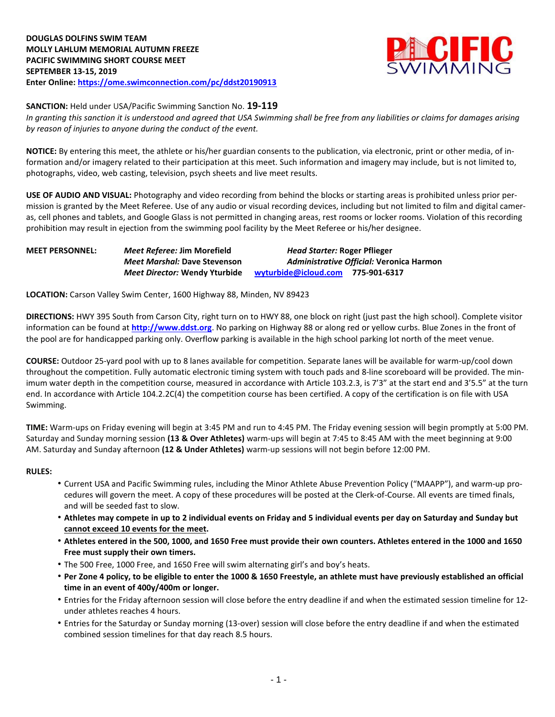

#### **SANCTION:** Held under USA/Pacific Swimming Sanction No. **19-119**

In granting this sanction it is understood and agreed that USA Swimming shall be free from any liabilities or claims for damages arising *by reason of injuries to anyone during the conduct of the event.*

**NOTICE:** By entering this meet, the athlete or his/her guardian consents to the publication, via electronic, print or other media, of information and/or imagery related to their participation at this meet. Such information and imagery may include, but is not limited to, photographs, video, web casting, television, psych sheets and live meet results.

**USE OF AUDIO AND VISUAL:** Photography and video recording from behind the blocks or starting areas is prohibited unless prior permission is granted by the Meet Referee. Use of any audio or visual recording devices, including but not limited to film and digital cameras, cell phones and tablets, and Google Glass is not permitted in changing areas, rest rooms or locker rooms. Violation of this recording prohibition may result in ejection from the swimming pool facility by the Meet Referee or his/her designee.

| <b>MEET PERSONNEL:</b> | <i>Meet Referee: Jim Morefield</i>   | <b>Head Starter: Roger Pflieger</b>      |
|------------------------|--------------------------------------|------------------------------------------|
|                        | <b>Meet Marshal: Dave Stevenson</b>  | Administrative Official: Veronica Harmon |
|                        | <b>Meet Director: Wendy Yturbide</b> | wyturbide@icloud.com 775-901-6317        |

**LOCATION:** Carson Valley Swim Center, 1600 Highway 88, Minden, NV 89423

**DIRECTIONS:** HWY 395 South from Carson City, right turn on to HWY 88, one block on right (just past the high school). Complete visitor information can be found at **[http://www.ddst.org](http://www.ddst.org/)**. No parking on Highway 88 or along red or yellow curbs. Blue Zones in the front of the pool are for handicapped parking only. Overflow parking is available in the high school parking lot north of the meet venue.

**COURSE:** Outdoor 25-yard pool with up to 8 lanes available for competition. Separate lanes will be available for warm-up/cool down throughout the competition. Fully automatic electronic timing system with touch pads and 8-line scoreboard will be provided. The minimum water depth in the competition course, measured in accordance with Article 103.2.3, is 7'3" at the start end and 3'5.5" at the turn end. In accordance with Article 104.2.2C(4) the competition course has been certified. A copy of the certification is on file with USA Swimming.

**TIME:** Warm-ups on Friday evening will begin at 3:45 PM and run to 4:45 PM. The Friday evening session will begin promptly at 5:00 PM. Saturday and Sunday morning session **(13 & Over Athletes)** warm-ups will begin at 7:45 to 8:45 AM with the meet beginning at 9:00 AM. Saturday and Sunday afternoon **(12 & Under Athletes)** warm-up sessions will not begin before 12:00 PM.

#### **RULES:**

- Current USA and Pacific Swimming rules, including the Minor Athlete Abuse Prevention Policy ("MAAPP"), and warm-up procedures will govern the meet. A copy of these procedures will be posted at the Clerk-of-Course. All events are timed finals, and will be seeded fast to slow.
- Athletes may compete in up to 2 individual events on Friday and 5 individual events per day on Saturday and Sunday but **cannot exceed 10 events for the meet.**
- Athletes entered in the 500, 1000, and 1650 Free must provide their own counters. Athletes entered in the 1000 and 1650 **Free must supply their own timers.**
- The 500 Free, 1000 Free, and 1650 Free will swim alternating girl's and boy's heats.
- Per Zone 4 policy, to be eligible to enter the 1000 & 1650 Freestyle, an athlete must have previously established an official **time in an event of 400y/400m or longer.**
- Entries for the Friday afternoon session will close before the entry deadline if and when the estimated session timeline for 12 under athletes reaches 4 hours.
- Entries for the Saturday or Sunday morning (13-over) session will close before the entry deadline if and when the estimated combined session timelines for that day reach 8.5 hours.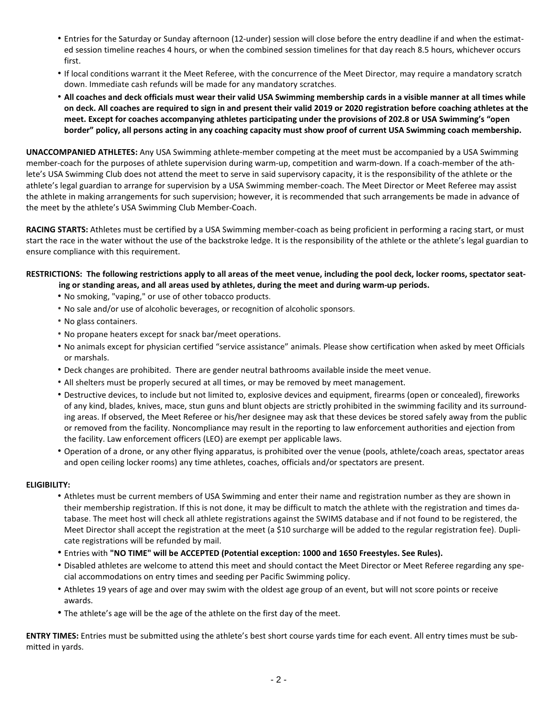- Entries for the Saturday or Sunday afternoon (12-under) session will close before the entry deadline if and when the estimated session timeline reaches 4 hours, or when the combined session timelines for that day reach 8.5 hours, whichever occurs first.
- If local conditions warrant it the Meet Referee, with the concurrence of the Meet Director, may require a mandatory scratch down. Immediate cash refunds will be made for any mandatory scratches.
- . All coaches and deck officials must wear their valid USA Swimming membership cards in a visible manner at all times while on deck. All coaches are required to sign in and present their valid 2019 or 2020 registration before coaching athletes at the meet. Except for coaches accompanying athletes participating under the provisions of 202.8 or USA Swimming's "open border" policy, all persons acting in any coaching capacity must show proof of current USA Swimming coach membership.

**UNACCOMPANIED ATHLETES:** Any USA Swimming athlete-member competing at the meet must be accompanied by a USA Swimming member-coach for the purposes of athlete supervision during warm-up, competition and warm-down. If a coach-member of the athlete's USA Swimming Club does not attend the meet to serve in said supervisory capacity, it is the responsibility of the athlete or the athlete's legal guardian to arrange for supervision by a USA Swimming member-coach. The Meet Director or Meet Referee may assist the athlete in making arrangements for such supervision; however, it is recommended that such arrangements be made in advance of the meet by the athlete's USA Swimming Club Member-Coach.

**RACING STARTS:** Athletes must be certified by a USA Swimming member-coach as being proficient in performing a racing start, or must start the race in the water without the use of the backstroke ledge. It is the responsibility of the athlete or the athlete's legal guardian to ensure compliance with this requirement.

### RESTRICTIONS: The following restrictions apply to all areas of the meet venue, including the pool deck, locker rooms, spectator seat**ing or standing areas, and all areas used by athletes, during the meet and during warm-up periods.**

- No smoking, "vaping," or use of other tobacco products.
- No sale and/or use of alcoholic beverages, or recognition of alcoholic sponsors.
- No glass containers.
- No propane heaters except for snack bar/meet operations.
- No animals except for physician certified "service assistance" animals. Please show certification when asked by meet Officials or marshals.
- Deck changes are prohibited. There are gender neutral bathrooms available inside the meet venue.
- All shelters must be properly secured at all times, or may be removed by meet management.
- Destructive devices, to include but not limited to, explosive devices and equipment, firearms (open or concealed), fireworks of any kind, blades, knives, mace, stun guns and blunt objects are strictly prohibited in the swimming facility and its surrounding areas. If observed, the Meet Referee or his/her designee may ask that these devices be stored safely away from the public or removed from the facility. Noncompliance may result in the reporting to law enforcement authorities and ejection from the facility. Law enforcement officers (LEO) are exempt per applicable laws.
- Operation of a drone, or any other flying apparatus, is prohibited over the venue (pools, athlete/coach areas, spectator areas and open ceiling locker rooms) any time athletes, coaches, officials and/or spectators are present.

#### **ELIGIBILITY:**

- Athletes must be current members of USA Swimming and enter their name and registration number as they are shown in their membership registration. If this is not done, it may be difficult to match the athlete with the registration and times database. The meet host will check all athlete registrations against the SWIMS database and if not found to be registered, the Meet Director shall accept the registration at the meet (a \$10 surcharge will be added to the regular registration fee). Duplicate registrations will be refunded by mail.
- Entries with **"NO TIME" will be ACCEPTED (Potential exception: 1000 and 1650 Freestyles. See Rules).**
- Disabled athletes are welcome to attend this meet and should contact the Meet Director or Meet Referee regarding any special accommodations on entry times and seeding per Pacific Swimming policy.
- Athletes 19 years of age and over may swim with the oldest age group of an event, but will not score points or receive awards.
- The athlete's age will be the age of the athlete on the first day of the meet.

**ENTRY TIMES:** Entries must be submitted using the athlete's best short course yards time for each event. All entry times must be submitted in yards.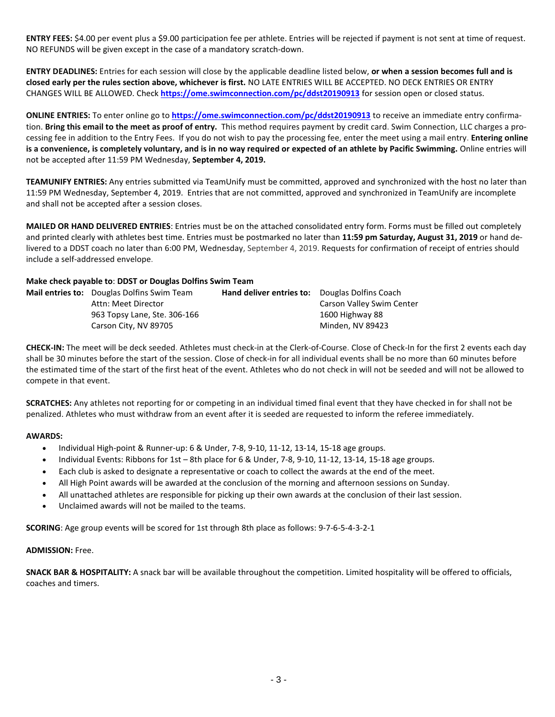**ENTRY FEES:** \$4.00 per event plus a \$9.00 participation fee per athlete. Entries will be rejected if payment is not sent at time of request. NO REFUNDS will be given except in the case of a mandatory scratch-down.

**ENTRY DEADLINES:** Entries for each session will close by the applicable deadline listed below, **or when a session becomes full and is closed early per the rules section above, whichever is first.** NO LATE ENTRIES WILL BE ACCEPTED. NO DECK ENTRIES OR ENTRY CHANGES WILL BE ALLOWED. Check **<https://ome.swimconnection.com/pc/ddst20190913>** for session open or closed status.

**ONLINE ENTRIES:** To enter online go to **<https://ome.swimconnection.com/pc/ddst20190913>** to receive an immediate entry confirmation. **Bring this email to the meet as proof of entry.** This method requires payment by credit card. Swim Connection, LLC charges a processing fee in addition to the Entry Fees. If you do not wish to pay the processing fee, enter the meet using a mail entry. **Entering online** is a convenience, is completely voluntary, and is in no way required or expected of an athlete by Pacific Swimming. Online entries will not be accepted after 11:59 PM Wednesday, **September 4, 2019.**

**TEAMUNIFY ENTRIES:** Any entries submitted via TeamUnify must be committed, approved and synchronized with the host no later than 11:59 PM Wednesday, September 4, 2019. Entries that are not committed, approved and synchronized in TeamUnify are incomplete and shall not be accepted after a session closes.

**MAILED OR HAND DELIVERED ENTRIES**: Entries must be on the attached consolidated entry form. Forms must be filled out completely and printed clearly with athletes best time. Entries must be postmarked no later than **11:59 pm Saturday, August 31, 2019** or hand delivered to a DDST coach no later than 6:00 PM, Wednesday, September 4, 2019. Requests for confirmation of receipt of entries should include a self-addressed envelope.

#### **Make check payable to**: **DDST or Douglas Dolfins Swim Team**

| <b>Mail entries to:</b> Douglas Dolfins Swim Team | <b>Hand deliver entries to:</b> Douglas Dolfins Coach |                           |
|---------------------------------------------------|-------------------------------------------------------|---------------------------|
| Attn: Meet Director                               |                                                       | Carson Valley Swim Center |
| 963 Topsy Lane, Ste. 306-166                      |                                                       | 1600 Highway 88           |
| Carson City, NV 89705                             |                                                       | Minden. NV 89423          |
|                                                   |                                                       |                           |

**CHECK-IN:** The meet will be deck seeded. Athletes must check-in at the Clerk-of-Course. Close of Check-In for the first 2 events each day shall be 30 minutes before the start of the session. Close of check-in for all individual events shall be no more than 60 minutes before the estimated time of the start of the first heat of the event. Athletes who do not check in will not be seeded and will not be allowed to compete in that event.

**SCRATCHES:** Any athletes not reporting for or competing in an individual timed final event that they have checked in for shall not be penalized. Athletes who must withdraw from an event after it is seeded are requested to inform the referee immediately.

#### **AWARDS:**

- Individual High-point & Runner-up: 6 & Under, 7-8, 9-10, 11-12, 13-14, 15-18 age groups.
- $\bullet$  Individual Events: Ribbons for 1st 8th place for 6 & Under, 7-8, 9-10, 11-12, 13-14, 15-18 age groups.
- Each club is asked to designate a representative or coach to collect the awards at the end of the meet.
- All High Point awards will be awarded at the conclusion of the morning and afternoon sessions on Sunday.
- All unattached athletes are responsible for picking up their own awards at the conclusion of their last session.
- Unclaimed awards will not be mailed to the teams.

**SCORING**: Age group events will be scored for 1st through 8th place as follows: 9-7-6-5-4-3-2-1

#### **ADMISSION:** Free.

**SNACK BAR & HOSPITALITY:** A snack bar will be available throughout the competition. Limited hospitality will be offered to officials, coaches and timers.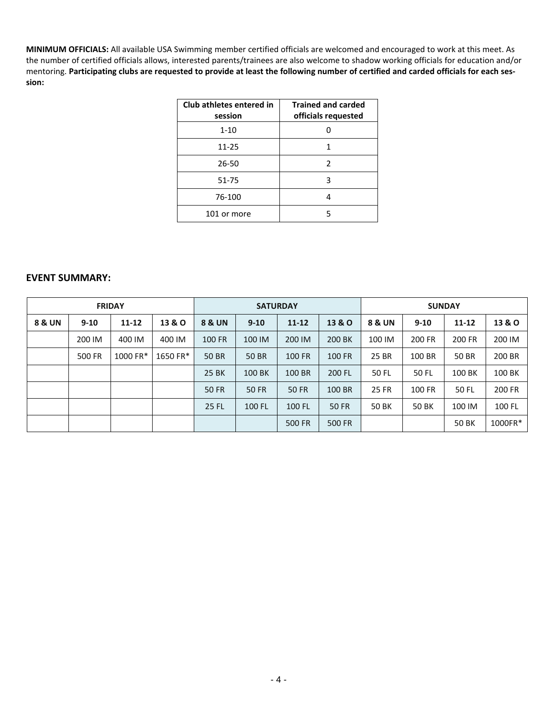**MINIMUM OFFICIALS:** All available USA Swimming member certified officials are welcomed and encouraged to work at this meet. As the number of certified officials allows, interested parents/trainees are also welcome to shadow working officials for education and/or mentoring. Participating clubs are requested to provide at least the following number of certified and carded officials for each ses**sion:**

| Club athletes entered in<br>session | <b>Trained and carded</b><br>officials requested |
|-------------------------------------|--------------------------------------------------|
| $1 - 10$                            |                                                  |
| $11 - 25$                           | 1                                                |
| 26-50                               | 2                                                |
| 51-75                               | 3                                                |
| 76-100                              |                                                  |
| 101 or more                         | 5                                                |

## **EVENT SUMMARY:**

| <b>FRIDAY</b> |          |           |                   |                                                      | <b>SATURDAY</b> |               |               |                       | <b>SUNDAY</b>   |        |                   |
|---------------|----------|-----------|-------------------|------------------------------------------------------|-----------------|---------------|---------------|-----------------------|-----------------|--------|-------------------|
| 8 & UN        | $9 - 10$ | $11 - 12$ | <b>13 &amp; O</b> | <b>8 &amp; UN</b><br>$11 - 12$<br>13 & O<br>$9 - 10$ |                 |               |               | 8 & UN                | $9 - 10$        | 11-12  | <b>13 &amp; O</b> |
|               | 200 IM   | 400 IM    | 400 IM            | <b>100 FR</b>                                        | 100 IM          | 200 IM        | 200 BK        | 100 IM                | 200 FR          | 200 FR | 200 IM            |
|               | 500 FR   | 1000 FR*  | 1650 FR*          | 50 BR                                                | <b>50 BR</b>    | <b>100 FR</b> | <b>100 FR</b> | 25 BR                 | 100 BR          | 50 BR  | 200 BR            |
|               |          |           |                   | 25 BK                                                | 100 BK          | 100 BR        | 200 FL        | 50 FL                 | 100 BK<br>50 FL |        | 100 BK            |
|               |          |           |                   | <b>50 FR</b>                                         | <b>50 FR</b>    | 50 FR         | 100 BR        | 25 FR                 | 100 FR<br>50 FL |        | 200 FR            |
|               |          |           |                   | <b>25 FL</b>                                         | 100 FL          | 100 FL        | <b>50 FR</b>  | 50 BK<br><b>50 BK</b> |                 | 100 IM | 100 FL            |
|               |          |           |                   |                                                      |                 | 500 FR        | 500 FR        |                       |                 | 50 BK  | 1000FR*           |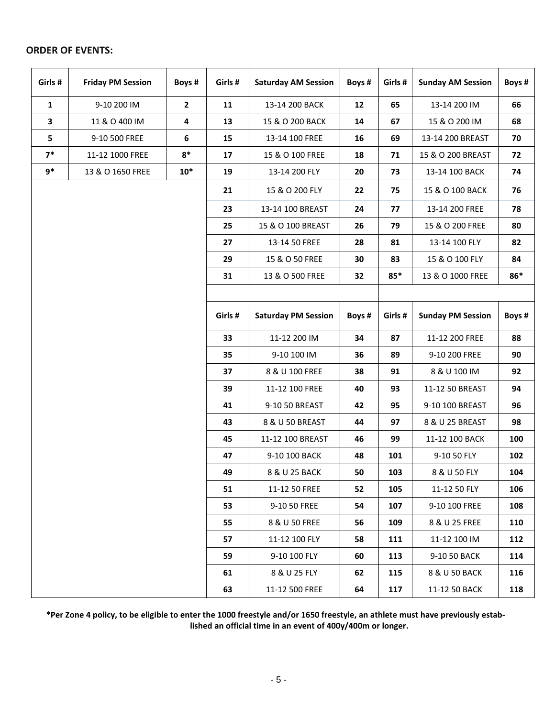# **ORDER OF EVENTS:**

| Girls #      | <b>Friday PM Session</b> | Boys # | Girls #                                         | <b>Saturday AM Session</b> | Boys #  | Girls #                  | <b>Sunday AM Session</b> | Boys # |
|--------------|--------------------------|--------|-------------------------------------------------|----------------------------|---------|--------------------------|--------------------------|--------|
| $\mathbf{1}$ | 9-10 200 IM              | 2      | 11                                              | 13-14 200 BACK             | 12      | 65                       | 13-14 200 IM             | 66     |
| $\mathbf{3}$ | 11 & O 400 IM            | 4      | 13                                              | 15 & O 200 BACK            | 14      | 67                       | 15 & O 200 IM            | 68     |
| 5            | 9-10 500 FREE            | 6      | 15                                              | 13-14 100 FREE             | 16      | 69                       | 13-14 200 BREAST         | 70     |
| $7*$         | 11-12 1000 FREE          | $8*$   | 17                                              | 15 & O 100 FREE            | 18      | 71                       | 15 & O 200 BREAST        | 72     |
| $9*$         | 13 & O 1650 FREE         | $10*$  | 19                                              | 13-14 200 FLY              | 20      | 73                       | 13-14 100 BACK           | 74     |
|              |                          |        | 21                                              | 15 & O 200 FLY             | 22      | 75                       | 15 & O 100 BACK          | 76     |
|              |                          |        | 23                                              | 13-14 100 BREAST           | 24      | 77                       | 13-14 200 FREE           | 78     |
|              |                          |        | 25                                              | 15 & O 100 BREAST          | 26      | 79                       | 15 & O 200 FREE          | 80     |
|              |                          |        | 27                                              | 13-14 50 FREE              | 28      | 81                       | 13-14 100 FLY            | 82     |
|              |                          |        | 29                                              | 15 & O 50 FREE             | 30      | 83                       | 15 & O 100 FLY           | 84     |
|              |                          |        | 31                                              | 13 & O 500 FREE            | 32      | $85*$                    | 13 & O 1000 FREE         | 86*    |
|              |                          |        |                                                 |                            |         |                          |                          |        |
|              |                          |        | Girls #<br><b>Saturday PM Session</b><br>Boys # |                            | Girls # | <b>Sunday PM Session</b> | Boys #                   |        |
|              |                          |        | 33                                              | 11-12 200 IM<br>34         |         | 87                       | 11-12 200 FREE           | 88     |
|              |                          |        | 35                                              | 9-10 100 IM                | 36      | 89                       | 9-10 200 FREE            | 90     |
|              |                          |        | 37                                              | 8 & U 100 FREE             | 38      | 91                       | 8 & U 100 IM             | 92     |
|              |                          |        | 39                                              | 11-12 100 FREE             | 40      | 93                       | 11-12 50 BREAST          | 94     |
|              |                          |        | 41                                              | 9-10 50 BREAST             | 42      | 95                       | 9-10 100 BREAST          | 96     |
|              |                          |        | 43                                              | 8 & U 50 BREAST            | 44      | 97                       | 8 & U 25 BREAST          | 98     |
|              |                          |        | 45                                              | 11-12 100 BREAST           | 46      | 99                       | 11-12 100 BACK           | 100    |
|              |                          |        | 47                                              | 9-10 100 BACK              | 48      | 101                      | 9-10 50 FLY              | 102    |
|              |                          |        | 49                                              | 8 & U 25 BACK              | 50      | 103                      | 8 & U 50 FLY             | 104    |
|              |                          |        | 51                                              | 11-12 50 FREE              | 52      | 105                      | 11-12 50 FLY             | 106    |
|              |                          |        | 53                                              | 9-10 50 FREE               | 54      | 107                      | 9-10 100 FREE            | 108    |
|              |                          |        | 55                                              | 8 & U 50 FREE              | 56      | 109                      | 8 & U 25 FREE            | 110    |
|              |                          |        | 57                                              | 11-12 100 FLY              | 58      | 111                      | 11-12 100 IM             | 112    |
|              |                          |        | 59                                              | 9-10 100 FLY               | 60      | 113                      | 9-10 50 BACK             | 114    |
|              |                          |        | 61                                              | 8 & U 25 FLY               | 62      | 115                      | 8 & U 50 BACK            | 116    |
|              |                          |        | 63                                              | 11-12 500 FREE             | 64      | 117                      | 11-12 50 BACK            | 118    |

\*Per Zone 4 policy, to be eligible to enter the 1000 freestyle and/or 1650 freestyle, an athlete must have previously estab**lished an official time in an event of 400y/400m or longer.**